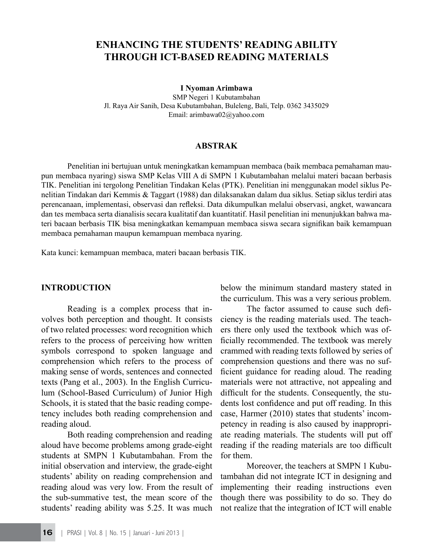# **ENHANCING THE STUDENTS' READING ABILITY THROUGH ICT-BASED READING MATERIALS**

#### **I Nyoman Arimbawa**

SMP Negeri 1 Kubutambahan Jl. Raya Air Sanih, Desa Kubutambahan, Buleleng, Bali, Telp. 0362 3435029 Email: arimbawa02@yahoo.com

#### **ABSTRAK**

Penelitian ini bertujuan untuk meningkatkan kemampuan membaca (baik membaca pemahaman maupun membaca nyaring) siswa SMP Kelas VIII A di SMPN 1 Kubutambahan melalui materi bacaan berbasis TIK. Penelitian ini tergolong Penelitian Tindakan Kelas (PTK). Penelitian ini menggunakan model siklus Penelitian Tindakan dari Kemmis & Taggart (1988) dan dilaksanakan dalam dua siklus. Setiap siklus terdiri atas perencanaan, implementasi, observasi dan refleksi. Data dikumpulkan melalui observasi, angket, wawancara dan tes membaca serta dianalisis secara kualitatif dan kuantitatif. Hasil penelitian ini menunjukkan bahwa materi bacaan berbasis TIK bisa meningkatkan kemampuan membaca siswa secara signifikan baik kemampuan membaca pemahaman maupun kemampuan membaca nyaring.

Kata kunci: kemampuan membaca, materi bacaan berbasis TIK.

#### **INTRODUCTION**

Reading is a complex process that involves both perception and thought. It consists of two related processes: word recognition which refers to the process of perceiving how written symbols correspond to spoken language and comprehension which refers to the process of making sense of words, sentences and connected texts (Pang et al., 2003). In the English Curriculum (School-Based Curriculum) of Junior High Schools, it is stated that the basic reading competency includes both reading comprehension and reading aloud.

Both reading comprehension and reading aloud have become problems among grade-eight students at SMPN 1 Kubutambahan. From the initial observation and interview, the grade-eight students' ability on reading comprehension and reading aloud was very low. From the result of the sub-summative test, the mean score of the students' reading ability was 5.25. It was much below the minimum standard mastery stated in the curriculum. This was a very serious problem.

The factor assumed to cause such deficiency is the reading materials used. The teachers there only used the textbook which was officially recommended. The textbook was merely crammed with reading texts followed by series of comprehension questions and there was no sufficient guidance for reading aloud. The reading materials were not attractive, not appealing and difficult for the students. Consequently, the students lost confidence and put off reading. In this case, Harmer (2010) states that students' incompetency in reading is also caused by inappropriate reading materials. The students will put off reading if the reading materials are too difficult for them.

Moreover, the teachers at SMPN 1 Kubutambahan did not integrate ICT in designing and implementing their reading instructions even though there was possibility to do so. They do not realize that the integration of ICT will enable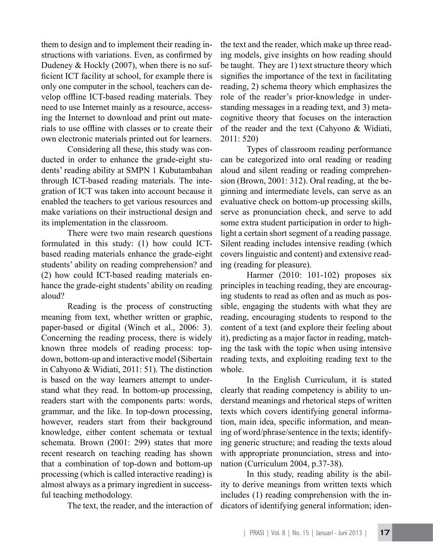them to design and to implement their reading instructions with variations. Even, as confirmed by Dudeney & Hockly (2007), when there is no sufficient ICT facility at school, for example there is only one computer in the school, teachers can develop offline ICT-based reading materials. They need to use Internet mainly as a resource, accessing the Internet to download and print out materials to use offline with classes or to create their own electronic materials printed out for learners.

Considering all these, this study was conducted in order to enhance the grade-eight students' reading ability at SMPN 1 Kubutambahan through ICT-based reading materials. The integration of ICT was taken into account because it enabled the teachers to get various resources and make variations on their instructional design and its implementation in the classroom.

There were two main research questions formulated in this study: (1) how could ICTbased reading materials enhance the grade-eight students' ability on reading comprehension? and (2) how could ICT-based reading materials enhance the grade-eight students' ability on reading aloud?

Reading is the process of constructing meaning from text, whether written or graphic, paper-based or digital (Winch et al., 2006: 3). Concerning the reading process, there is widely known three models of reading process: topdown, bottom-up and interactive model (Sibertain in Cahyono & Widiati, 2011: 51). The distinction is based on the way learners attempt to understand what they read. In bottom-up processing, readers start with the components parts: words, grammar, and the like. In top-down processing, however, readers start from their background knowledge, either content schemata or textual schemata. Brown (2001: 299) states that more recent research on teaching reading has shown that a combination of top-down and bottom-up processing (which is called interactive reading) is almost always as a primary ingredient in successful teaching methodology.

The text, the reader, and the interaction of

the text and the reader, which make up three reading models, give insights on how reading should be taught. They are 1) text structure theory which signifies the importance of the text in facilitating reading, 2) schema theory which emphasizes the role of the reader's prior-knowledge in understanding messages in a reading text, and 3) metacognitive theory that focuses on the interaction of the reader and the text (Cahyono & Widiati, 2011: 520)

Types of classroom reading performance can be categorized into oral reading or reading aloud and silent reading or reading comprehension (Brown, 2001: 312). Oral reading, at the beginning and intermediate levels, can serve as an evaluative check on bottom-up processing skills, serve as pronunciation check, and serve to add some extra student participation in order to highlight a certain short segment of a reading passage. Silent reading includes intensive reading (which covers linguistic and content) and extensive reading (reading for pleasure).

Harmer (2010: 101-102) proposes six principles in teaching reading, they are encouraging students to read as often and as much as possible, engaging the students with what they are reading, encouraging students to respond to the content of a text (and explore their feeling about it), predicting as a major factor in reading, matching the task with the topic when using intensive reading texts, and exploiting reading text to the whole.

In the English Curriculum, it is stated clearly that reading competency is ability to understand meanings and rhetorical steps of written texts which covers identifying general information, main idea, specific information, and meaning of word/phrase/sentence in the texts; identifying generic structure; and reading the texts aloud with appropriate pronunciation, stress and intonation (Curriculum 2004, p.37-38).

In this study, reading ability is the ability to derive meanings from written texts which includes (1) reading comprehension with the indicators of identifying general information; iden-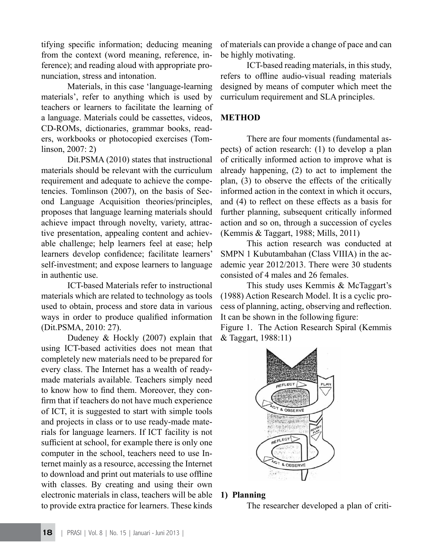tifying specific information; deducing meaning from the context (word meaning, reference, inference); and reading aloud with appropriate pronunciation, stress and intonation.

Materials, in this case 'language-learning materials', refer to anything which is used by teachers or learners to facilitate the learning of a language. Materials could be cassettes, videos, CD-ROMs, dictionaries, grammar books, readers, workbooks or photocopied exercises (Tomlinson, 2007: 2)

Dit.PSMA (2010) states that instructional materials should be relevant with the curriculum requirement and adequate to achieve the competencies. Tomlinson (2007), on the basis of Second Language Acquisition theories/principles, proposes that language learning materials should achieve impact through novelty, variety, attractive presentation, appealing content and achievable challenge; help learners feel at ease; help learners develop confidence; facilitate learners' self-investment; and expose learners to language in authentic use.

ICT-based Materials refer to instructional materials which are related to technology as tools used to obtain, process and store data in various ways in order to produce qualified information (Dit.PSMA, 2010: 27).

Dudeney & Hockly (2007) explain that using ICT-based activities does not mean that completely new materials need to be prepared for every class. The Internet has a wealth of readymade materials available. Teachers simply need to know how to find them. Moreover, they confirm that if teachers do not have much experience of ICT, it is suggested to start with simple tools and projects in class or to use ready-made materials for language learners. If ICT facility is not sufficient at school, for example there is only one computer in the school, teachers need to use Internet mainly as a resource, accessing the Internet to download and print out materials to use offline with classes. By creating and using their own electronic materials in class, teachers will be able to provide extra practice for learners. These kinds of materials can provide a change of pace and can be highly motivating.

ICT-based reading materials, in this study, refers to offline audio-visual reading materials designed by means of computer which meet the curriculum requirement and SLA principles.

# **METHOD**

There are four moments (fundamental aspects) of action research: (1) to develop a plan of critically informed action to improve what is already happening, (2) to act to implement the plan, (3) to observe the effects of the critically informed action in the context in which it occurs, and (4) to reflect on these effects as a basis for further planning, subsequent critically informed action and so on, through a succession of cycles (Kemmis & Taggart, 1988; Mills, 2011)

This action research was conducted at SMPN 1 Kubutambahan (Class VIIIA) in the academic year 2012/2013. There were 30 students consisted of 4 males and 26 females.

This study uses Kemmis & McTaggart's (1988) Action Research Model. It is a cyclic process of planning, acting, observing and reflection. It can be shown in the following figure:

Figure 1. The Action Research Spiral (Kemmis & Taggart, 1988:11)



## **1) Planning**

The researcher developed a plan of criti-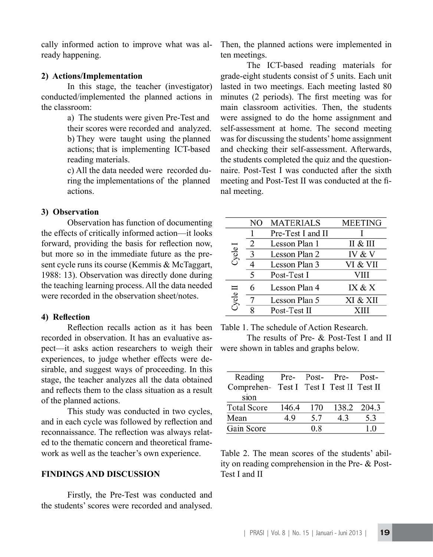cally informed action to improve what was already happening.

#### **2) Actions/Implementation**

In this stage, the teacher (investigator) conducted/implemented the planned actions in the classroom:

> a) The students were given Pre-Test and their scores were recorded and analyzed. b) They were taught using the planned actions; that is implementing ICT-based reading materials.

> c) All the data needed were recorded during the implementations of the planned actions.

#### **3) Observation**

Observation has function of documenting the effects of critically informed action—it looks forward, providing the basis for reflection now, but more so in the immediate future as the present cycle runs its course (Kemmis & McTaggart, 1988: 13). Observation was directly done during the teaching learning process. All the data needed were recorded in the observation sheet/notes.

#### **4) Reflection**

Reflection recalls action as it has been recorded in observation. It has an evaluative aspect—it asks action researchers to weigh their experiences, to judge whether effects were desirable, and suggest ways of proceeding. In this stage, the teacher analyzes all the data obtained and reflects them to the class situation as a result of the planned actions.

This study was conducted in two cycles, and in each cycle was followed by reflection and reconnaissance. The reflection was always related to the thematic concern and theoretical framework as well as the teacher's own experience.

### **FINDINGS AND DISCUSSION**

Firstly, the Pre-Test was conducted and the students' scores were recorded and analysed. Then, the planned actions were implemented in ten meetings.

The ICT-based reading materials for grade-eight students consist of 5 units. Each unit lasted in two meetings. Each meeting lasted 80 minutes (2 periods). The first meeting was for main classroom activities. Then, the students were assigned to do the home assignment and self-assessment at home. The second meeting was for discussing the students' home assignment and checking their self-assessment. Afterwards, the students completed the quiz and the questionnaire. Post-Test I was conducted after the sixth meeting and Post-Test II was conducted at the final meeting.

|          | NΟ | <b>MATERIALS</b>  | <b>MEETING</b> |
|----------|----|-------------------|----------------|
| Cycle I  |    | Pre-Test I and II |                |
|          | 2  | Lesson Plan 1     | II & III       |
|          | 3  | Lesson Plan 2     | IV & V         |
|          |    | Lesson Plan 3     | VI & VII       |
|          | 5  | Post-Test I       | VIII           |
| Cycle II | 6  | Lesson Plan 4     | IX & X         |
|          |    | Lesson Plan 5     | XI & XII       |
|          |    | Post-Test II      |                |

Table 1. The schedule of Action Research.

The results of Pre- & Post-Test I and II were shown in tables and graphs below.

| Reading                                  |       |     | Pre- Post- Pre- Post- |             |
|------------------------------------------|-------|-----|-----------------------|-------------|
| Comprehen- Test I Test I Test II Test II |       |     |                       |             |
| sion                                     |       |     |                       |             |
| <b>Total Score</b>                       | 146.4 | 170 |                       | 138.2 204.3 |
| Mean                                     | 49    | 5.7 | 43                    | 5.3         |
| Gain Score                               |       | 0.8 |                       | 10          |

Table 2. The mean scores of the students' ability on reading comprehension in the Pre- & Post-Test I and II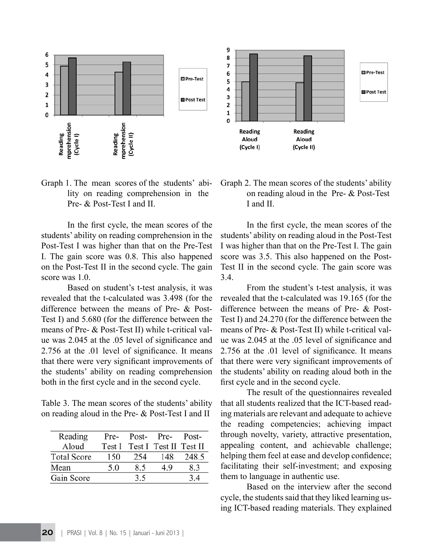

Graph 1. The mean scores of the students' ability on reading comprehension in the Pre- & Post-Test I and II.

In the first cycle, the mean scores of the students' ability on reading comprehension in the Post-Test I was higher than that on the Pre-Test I. The gain score was 0.8. This also happened on the Post-Test II in the second cycle. The gain score was 1.0.

Based on student's t-test analysis, it was revealed that the t-calculated was 3.498 (for the difference between the means of Pre- & Post-Test I) and 5.680 (for the difference between the means of Pre- & Post-Test II) while t-critical value was 2.045 at the .05 level of significance and 2.756 at the .01 level of significance. It means that there were very significant improvements of the students' ability on reading comprehension both in the first cycle and in the second cycle.

Table 3. The mean scores of the students' ability on reading aloud in the Pre- & Post-Test I and II

| Reading            | Pre-   | Post- | Pre-                   | Post- |
|--------------------|--------|-------|------------------------|-------|
| Aloud              | Test I |       | Test I Test II Test II |       |
| <b>Total Score</b> | 150    | 254   | 148                    | 248.5 |
| Mean               | 5.0    | 8.5   | 4.9                    | 8.3   |
| Gain Score         |        | 3.5   |                        | 34    |
|                    |        |       |                        |       |

Graph 2. The mean scores of the students' ability on reading aloud in the Pre- & Post-Test I and II.

In the first cycle, the mean scores of the students' ability on reading aloud in the Post-Test I was higher than that on the Pre-Test I. The gain score was 3.5. This also happened on the Post-Test II in the second cycle. The gain score was 3.4.

From the student's t-test analysis, it was revealed that the t-calculated was 19.165 (for the difference between the means of Pre- & Post-Test I) and 24.270 (for the difference between the means of Pre- & Post-Test II) while t-critical value was 2.045 at the .05 level of significance and 2.756 at the .01 level of significance. It means that there were very significant improvements of the students' ability on reading aloud both in the first cycle and in the second cycle.

The result of the questionnaires revealed that all students realized that the ICT-based reading materials are relevant and adequate to achieve the reading competencies; achieving impact through novelty, variety, attractive presentation, appealing content, and achievable challenge; helping them feel at ease and develop confidence; facilitating their self-investment; and exposing them to language in authentic use.

Based on the interview after the second cycle, the students said that they liked learning using ICT-based reading materials. They explained